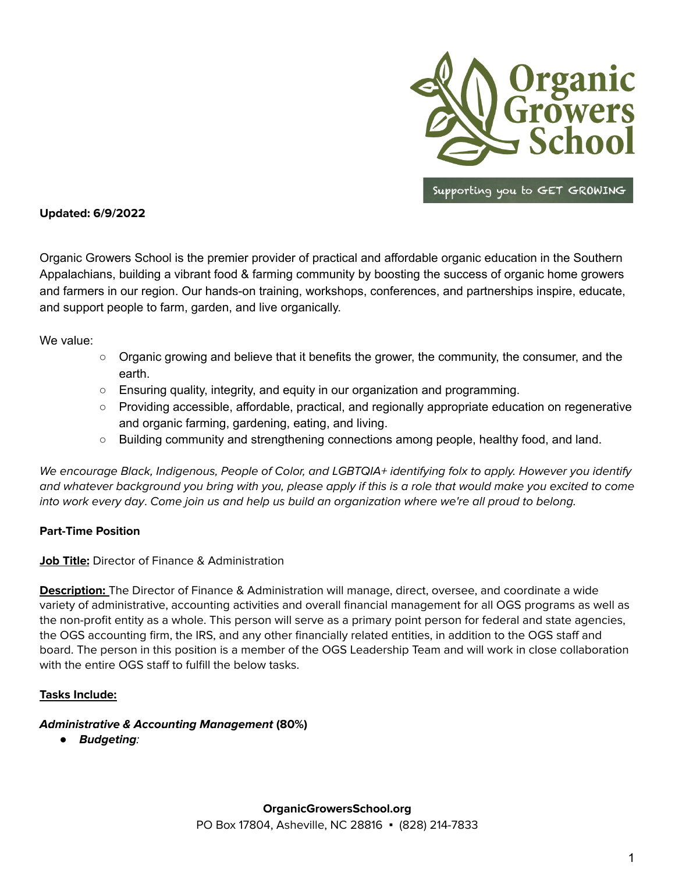

**Updated: 6/9/2022**

Organic Growers School is the premier provider of practical and affordable organic education in the Southern Appalachians, building a vibrant food & farming community by boosting the success of organic home growers and farmers in our region. Our hands-on training, workshops, conferences, and partnerships inspire, educate, and support people to farm, garden, and live organically.

We value:

- Organic growing and believe that it benefits the grower, the community, the consumer, and the earth.
- $\circ$  Ensuring quality, integrity, and equity in our organization and programming.
- Providing accessible, affordable, practical, and regionally appropriate education on regenerative and organic farming, gardening, eating, and living.
- Building community and strengthening connections among people, healthy food, and land.

We encourage Black, Indigenous, People of Color, and LGBTQIA+ identifying folx to apply. However you identify and whatever background you bring with you, please apply if this is a role that would make you excited to come into work every day. Come join us and help us build an organization where we're all proud to belong.

### **Part-Time Position**

**Job Title:** Director of Finance & Administration

**Description:** The Director of Finance & Administration will manage, direct, oversee, and coordinate a wide variety of administrative, accounting activities and overall financial management for all OGS programs as well as the non-profit entity as a whole. This person will serve as a primary point person for federal and state agencies, the OGS accounting firm, the IRS, and any other financially related entities, in addition to the OGS staff and board. The person in this position is a member of the OGS Leadership Team and will work in close collaboration with the entire OGS staff to fulfill the below tasks.

### **Tasks Include:**

#### **Administrative & Accounting Management (80%)**

*●* **Budgeting**: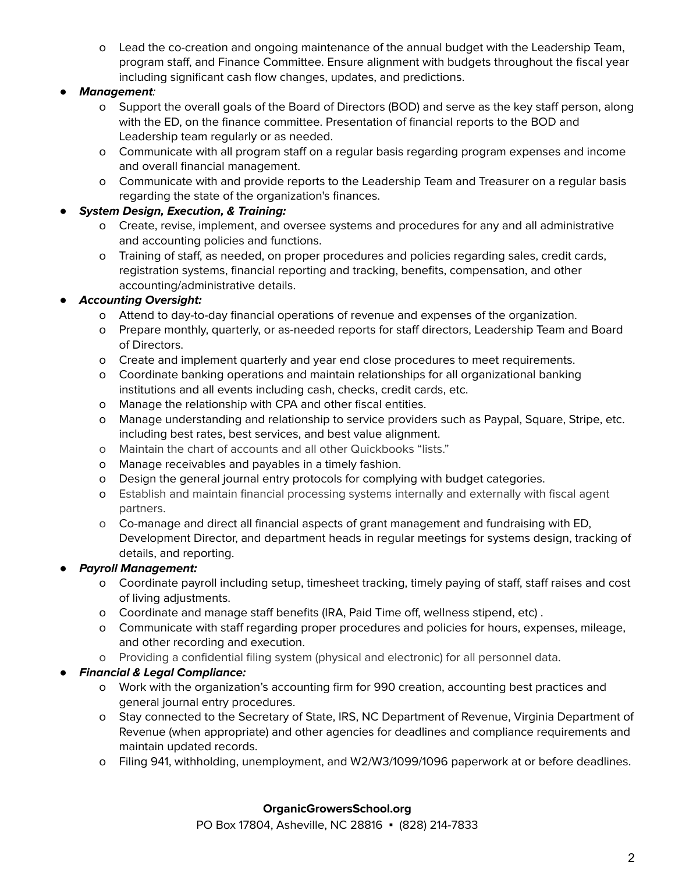o Lead the co-creation and ongoing maintenance of the annual budget with the Leadership Team, program staff, and Finance Committee. Ensure alignment with budgets throughout the fiscal year including significant cash flow changes, updates, and predictions.

# *●* **Management**:

- o Support the overall goals of the Board of Directors (BOD) and serve as the key staff person, along with the ED, on the finance committee. Presentation of financial reports to the BOD and Leadership team regularly or as needed.
- o Communicate with all program staff on a regular basis regarding program expenses and income and overall financial management.
- o Communicate with and provide reports to the Leadership Team and Treasurer on a regular basis regarding the state of the organization's finances.

### *●* **System Design, Execution, & Training:**

- o Create, revise, implement, and oversee systems and procedures for any and all administrative and accounting policies and functions.
- o Training of staff, as needed, on proper procedures and policies regarding sales, credit cards, registration systems, financial reporting and tracking, benefits, compensation, and other accounting/administrative details.

# *●* **Accounting Oversight:**

- o Attend to day-to-day financial operations of revenue and expenses of the organization.
- o Prepare monthly, quarterly, or as-needed reports for staff directors, Leadership Team and Board of Directors.
- o Create and implement quarterly and year end close procedures to meet requirements.
- o Coordinate banking operations and maintain relationships for all organizational banking institutions and all events including cash, checks, credit cards, etc.
- o Manage the relationship with CPA and other fiscal entities.
- o Manage understanding and relationship to service providers such as Paypal, Square, Stripe, etc. including best rates, best services, and best value alignment.
- o Maintain the chart of accounts and all other Quickbooks "lists."
- o Manage receivables and payables in a timely fashion.
- o Design the general journal entry protocols for complying with budget categories.
- o Establish and maintain financial processing systems internally and externally with fiscal agent partners.
- o Co-manage and direct all financial aspects of grant management and fundraising with ED, Development Director, and department heads in regular meetings for systems design, tracking of details, and reporting.

# *●* **Payroll Management:**

- o Coordinate payroll including setup, timesheet tracking, timely paying of staff, staff raises and cost of living adjustments.
- o Coordinate and manage staff benefits (IRA, Paid Time off, wellness stipend, etc) .
- o Communicate with staff regarding proper procedures and policies for hours, expenses, mileage, and other recording and execution.
- o Providing a confidential filing system (physical and electronic) for all personnel data.

# *●* **Financial & Legal Compliance:**

- o Work with the organization's accounting firm for 990 creation, accounting best practices and general journal entry procedures.
- o Stay connected to the Secretary of State, IRS, NC Department of Revenue, Virginia Department of Revenue (when appropriate) and other agencies for deadlines and compliance requirements and maintain updated records.
- o Filing 941, withholding, unemployment, and W2/W3/1099/1096 paperwork at or before deadlines.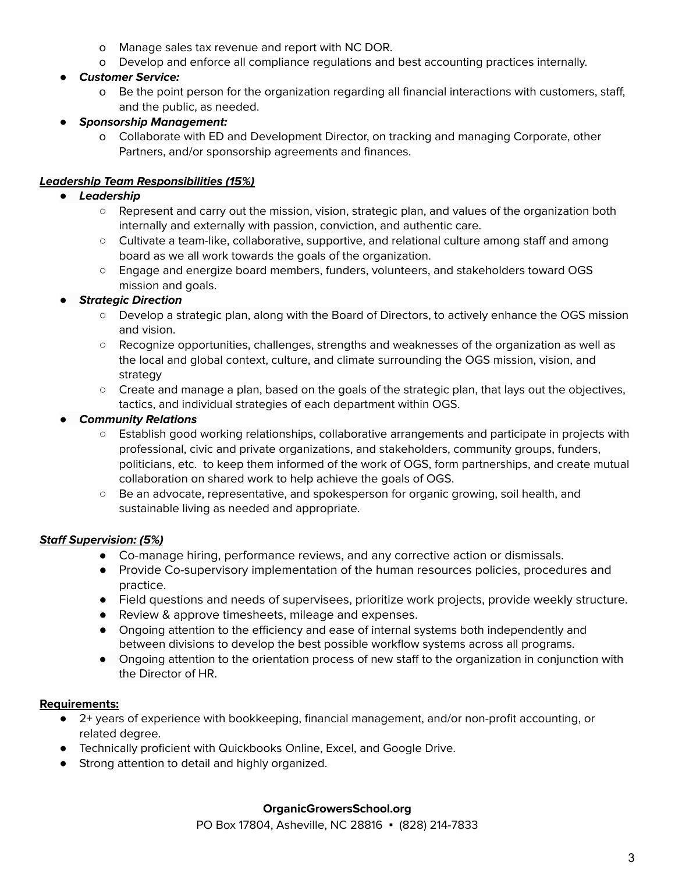- o Manage sales tax revenue and report with NC DOR.
- o Develop and enforce all compliance regulations and best accounting practices internally.
- *●* **Customer Service:**
	- o Be the point person for the organization regarding all financial interactions with customers, staff, and the public, as needed.

# *●* **Sponsorship Management:**

o Collaborate with ED and Development Director, on tracking and managing Corporate, other Partners, and/or sponsorship agreements and finances.

# **Leadership Team Responsibilities (15%)**

- *●* **Leadership**
	- Represent and carry out the mission, vision, strategic plan, and values of the organization both internally and externally with passion, conviction, and authentic care.
	- Cultivate a team-like, collaborative, supportive, and relational culture among staff and among board as we all work towards the goals of the organization.
	- *○* Engage and energize board members, funders, volunteers, and stakeholders toward OGS mission and goals.

# *●* **Strategic Direction**

- Develop a strategic plan, along with the Board of Directors, to actively enhance the OGS mission and vision.
- Recognize opportunities, challenges, strengths and weaknesses of the organization as well as the local and global context, culture, and climate surrounding the OGS mission, vision, and strategy
- Create and manage a plan, based on the goals of the strategic plan, that lays out the objectives, tactics, and individual strategies of each department within OGS.

# *●* **Community Relations**

- Establish good working relationships, collaborative arrangements and participate in projects with professional, civic and private organizations, and stakeholders, community groups, funders, politicians, etc. to keep them informed of the work of OGS, form partnerships, and create mutual collaboration on shared work to help achieve the goals of OGS.
- Be an advocate, representative, and spokesperson for organic growing, soil health, and sustainable living as needed and appropriate.

# **Staff Supervision: (5%)**

- **●** Co-manage hiring, performance reviews, and any corrective action or dismissals.
- Provide Co-supervisory implementation of the human resources policies, procedures and practice.
- Field questions and needs of supervisees, prioritize work projects, provide weekly structure.
- Review & approve timesheets, mileage and expenses.
- Ongoing attention to the efficiency and ease of internal systems both independently and between divisions to develop the best possible workflow systems across all programs.
- Ongoing attention to the orientation process of new staff to the organization in conjunction with the Director of HR.

# **Requirements:**

- 2+ years of experience with bookkeeping, financial management, and/or non-profit accounting, or related degree.
- Technically proficient with Quickbooks Online, Excel, and Google Drive.
- Strong attention to detail and highly organized.

# **OrganicGrowersSchool.org**